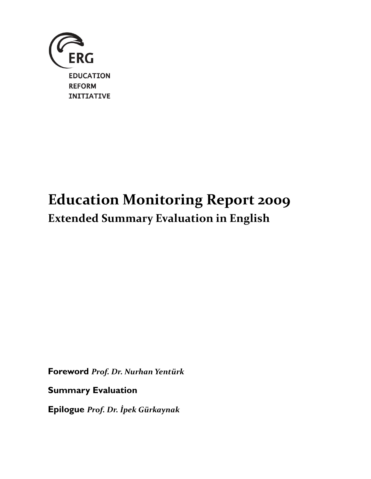

# Education Monitoring Report 2009 Extended Summary Evaluation in English

Foreword Prof. Dr. Nurhan Yentürk

Summary Evaluation

Epilogue Prof. Dr. İpek Gürkaynak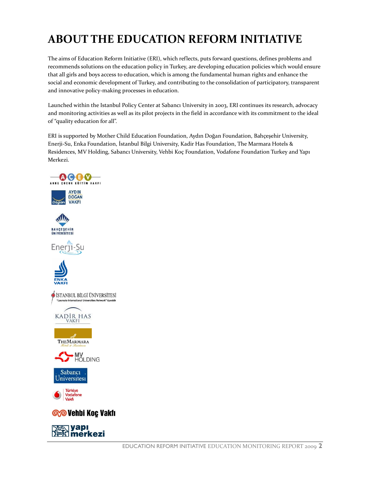# ABOUT THE EDUCATION REFORM INITIATIVE

The aims of Education Reform Initiative (ERI), which reflects, puts forward questions, defines problems and recommends solutions on the education policy in Turkey, are developing education policies which would ensure that all girls and boys access to education, which is among the fundamental human rights and enhance the social and economic development of Turkey, and contributing to the consolidation of participatory, transparent and innovative policy-making processes in education.

Launched within the Istanbul Policy Center at Sabancı University in 2003, ERI continues its research, advocacy and monitoring activities as well as its pilot projects in the field in accordance with its commitment to the ideal of "quality education for all".

ERI is supported by Mother Child Education Foundation, Aydın Doğan Foundation, Bahçeşehir University, Enerji-Su, Enka Foundation, İstanbul Bilgi University, Kadir Has Foundation, The Marmara Hotels & Residences, MV Holding, Sabancı University, Vehbi Koç Foundation, Vodafone Foundation Turkey and Yapı Merkezi.

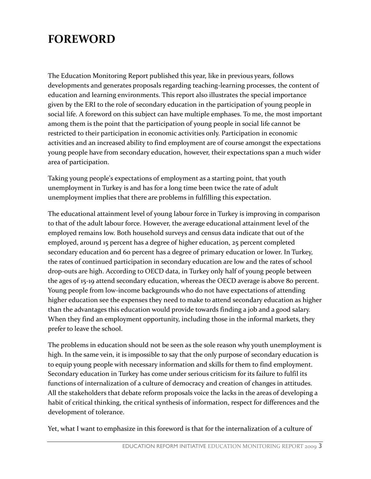## FOREWORD

The Education Monitoring Report published this year, like in previous years, follows developments and generates proposals regarding teaching-learning processes, the content of education and learning environments. This report also illustrates the special importance given by the ERI to the role of secondary education in the participation of young people in social life. A foreword on this subject can have multiple emphases. To me, the most important among them is the point that the participation of young people in social life cannot be restricted to their participation in economic activities only. Participation in economic activities and an increased ability to find employment are of course amongst the expectations young people have from secondary education, however, their expectations span a much wider area of participation.

Taking young people's expectations of employment as a starting point, that youth unemployment in Turkey is and has for a long time been twice the rate of adult unemployment implies that there are problems in fulfilling this expectation.

The educational attainment level of young labour force in Turkey is improving in comparison to that of the adult labour force. However, the average educational attainment level of the employed remains low. Both household surveys and census data indicate that out of the employed, around 15 percent has a degree of higher education, 25 percent completed secondary education and 60 percent has a degree of primary education or lower. In Turkey, the rates of continued participation in secondary education are low and the rates of school drop-outs are high. According to OECD data, in Turkey only half of young people between the ages of 15-19 attend secondary education, whereas the OECD average is above 80 percent. Young people from low-income backgrounds who do not have expectations of attending higher education see the expenses they need to make to attend secondary education as higher than the advantages this education would provide towards finding a job and a good salary. When they find an employment opportunity, including those in the informal markets, they prefer to leave the school.

The problems in education should not be seen as the sole reason why youth unemployment is high. In the same vein, it is impossible to say that the only purpose of secondary education is to equip young people with necessary information and skills for them to find employment. Secondary education in Turkey has come under serious criticism for its failure to fulfil its functions of internalization of a culture of democracy and creation of changes in attitudes. All the stakeholders that debate reform proposals voice the lacks in the areas of developing a habit of critical thinking, the critical synthesis of information, respect for differences and the development of tolerance.

Yet, what I want to emphasize in this foreword is that for the internalization of a culture of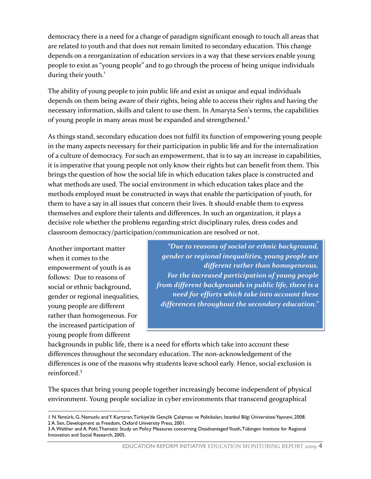democracy there is a need for a change of paradigm significant enough to touch all areas that are related to youth and that does not remain limited to secondary education. This change depends on a reorganization of education services in a way that these services enable young people to exist as "young people" and to go through the process of being unique individuals during their youth. $<sup>1</sup>$ </sup>

The ability of young people to join public life and exist as unique and equal individuals depends on them being aware of their rights, being able to access their rights and having the necessary information, skills and talent to use them. In Amaryta Sen's terms, the capabilities of young people in many areas must be expanded and strengthened.<sup>2</sup>

As things stand, secondary education does not fulfil its function of empowering young people in the many aspects necessary for their participation in public life and for the internalization of a culture of democracy. For such an empowerment, that is to say an increase in capabilities, it is imperative that young people not only know their rights but can benefit from them. This brings the question of how the social life in which education takes place is constructed and what methods are used. The social environment in which education takes place and the methods employed must be constructed in ways that enable the participation of youth, for them to have a say in all issues that concern their lives. It should enable them to express themselves and explore their talents and differences. In such an organization, it plays a decisive role whether the problems regarding strict disciplinary rules, dress codes and classroom democracy/participation/communication are resolved or not.

Another important matter when it comes to the empowerment of youth is as follows: Due to reasons of social or ethnic background, gender or regional inequalities, young people are different rather than homogeneous. For the increased participation of young people from different

"Due to reasons of social or ethnic background, gender or regional inequalities, young people are different rather than homogeneous. For the increased participation of young people from different backgrounds in public life, there is a need for efforts which take into account these differences throughout the secondary education."

backgrounds in public life, there is a need for efforts which take into account these differences throughout the secondary education. The non-acknowledgement of the differences is one of the reasons why students leave school early. Hence, social exclusion is reinforced.<sup>3</sup>

The spaces that bring young people together increasingly become independent of physical environment. Young people socialize in cyber environments that transcend geographical

l 1 N. Yentürk, G. Nemutlu and Y. Kurtaran, Türkiye'de Gençlik Çalıșması ve Politikaları, Istanbul Bilgi Üniversitesi Yayınevi, 2008. 2 A. Sen, Development as Freedom, Oxford University Press, 2001.

<sup>3</sup> A. Walther and A. Pohl, Thematic Study on Policy Measures concerning Disadvantaged Youth, Tübingen Institute for Regional Innovation and Social Research, 2005.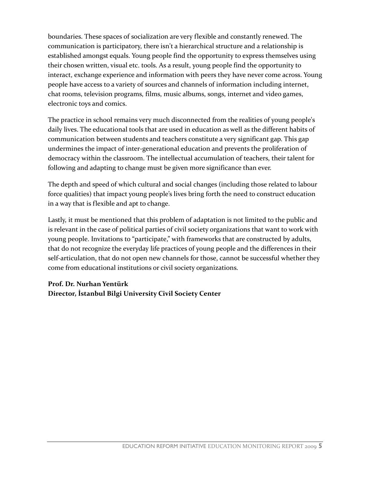boundaries. These spaces of socialization are very flexible and constantly renewed. The communication is participatory, there isn't a hierarchical structure and a relationship is established amongst equals. Young people find the opportunity to express themselves using their chosen written, visual etc. tools. As a result, young people find the opportunity to interact, exchange experience and information with peers they have never come across. Young people have access to a variety of sources and channels of information including internet, chat rooms, television programs, films, music albums, songs, internet and video games, electronic toys and comics.

The practice in school remains very much disconnected from the realities of young people's daily lives. The educational tools that are used in education as well as the different habits of communication between students and teachers constitute a very significant gap. This gap undermines the impact of inter-generational education and prevents the proliferation of democracy within the classroom. The intellectual accumulation of teachers, their talent for following and adapting to change must be given more significance than ever.

The depth and speed of which cultural and social changes (including those related to labour force qualities) that impact young people's lives bring forth the need to construct education in a way that is flexible and apt to change.

Lastly, it must be mentioned that this problem of adaptation is not limited to the public and is relevant in the case of political parties of civil society organizations that want to work with young people. Invitations to "participate," with frameworks that are constructed by adults, that do not recognize the everyday life practices of young people and the differences in their self-articulation, that do not open new channels for those, cannot be successful whether they come from educational institutions or civil society organizations.

### Prof. Dr. Nurhan Yentürk Director, İstanbul Bilgi University Civil Society Center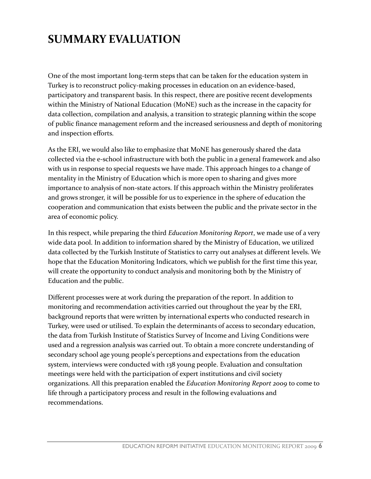# SUMMARY EVALUATION

One of the most important long-term steps that can be taken for the education system in Turkey is to reconstruct policy-making processes in education on an evidence-based, participatory and transparent basis. In this respect, there are positive recent developments within the Ministry of National Education (MoNE) such as the increase in the capacity for data collection, compilation and analysis, a transition to strategic planning within the scope of public finance management reform and the increased seriousness and depth of monitoring and inspection efforts.

As the ERI, we would also like to emphasize that MoNE has generously shared the data collected via the e-school infrastructure with both the public in a general framework and also with us in response to special requests we have made. This approach hinges to a change of mentality in the Ministry of Education which is more open to sharing and gives more importance to analysis of non-state actors. If this approach within the Ministry proliferates and grows stronger, it will be possible for us to experience in the sphere of education the cooperation and communication that exists between the public and the private sector in the area of economic policy.

In this respect, while preparing the third Education Monitoring Report, we made use of a very wide data pool. In addition to information shared by the Ministry of Education, we utilized data collected by the Turkish Institute of Statistics to carry out analyses at different levels. We hope that the Education Monitoring Indicators, which we publish for the first time this year, will create the opportunity to conduct analysis and monitoring both by the Ministry of Education and the public.

Different processes were at work during the preparation of the report. In addition to monitoring and recommendation activities carried out throughout the year by the ERI, background reports that were written by international experts who conducted research in Turkey, were used or utilised. To explain the determinants of access to secondary education, the data from Turkish Institute of Statistics Survey of Income and Living Conditions were used and a regression analysis was carried out. To obtain a more concrete understanding of secondary school age young people's perceptions and expectations from the education system, interviews were conducted with 138 young people. Evaluation and consultation meetings were held with the participation of expert institutions and civil society organizations. All this preparation enabled the Education Monitoring Report 2009 to come to life through a participatory process and result in the following evaluations and recommendations.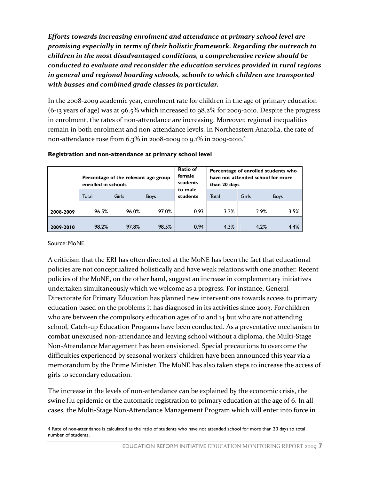Efforts towards increasing enrolment and attendance at primary school level are promising especially in terms of their holistic framework. Regarding the outreach to children in the most disadvantaged conditions, a comprehensive review should be conducted to evaluate and reconsider the education services provided in rural regions in general and regional boarding schools, schools to which children are transported with busses and combined grade classes in particular.

In the 2008-2009 academic year, enrolment rate for children in the age of primary education (6-13 years of age) was at 96.5% which increased to 98.2% for 2009-2010. Despite the progress in enrolment, the rates of non-attendance are increasing. Moreover, regional inequalities remain in both enrolment and non-attendance levels. In Northeastern Anatolia, the rate of non-attendance rose from 6.3% in 2008-2009 to 9.1% in 2009-2010.<sup>4</sup>

|           | Percentage of the relevant age group<br>enrolled in schools |       |             | Ratio of<br>female<br>students | Percentage of enrolled students who<br>have not attended school for more<br>than 20 days |       |             |
|-----------|-------------------------------------------------------------|-------|-------------|--------------------------------|------------------------------------------------------------------------------------------|-------|-------------|
|           | Total                                                       | Girls | <b>Boys</b> | to male<br>students            | Total                                                                                    | Girls | <b>Boys</b> |
| 2008-2009 | 96.5%                                                       | 96.0% | 97.0%       | 0.93                           | 3.2%                                                                                     | 2.9%  | 3.5%        |
| 2009-2010 | 98.2%                                                       | 97.8% | 98.5%       | 0.94                           | 4.3%                                                                                     | 4.2%  | 4.4%        |

#### Registration and non-attendance at primary school level

#### Source: MoNE.

l

A criticism that the ERI has often directed at the MoNE has been the fact that educational policies are not conceptualized holistically and have weak relations with one another. Recent policies of the MoNE, on the other hand, suggest an increase in complementary initiatives undertaken simultaneously which we welcome as a progress. For instance, General Directorate for Primary Education has planned new interventions towards access to primary education based on the problems it has diagnosed in its activities since 2003. For children who are between the compulsory education ages of 10 and 14 but who are not attending school, Catch-up Education Programs have been conducted. As a preventative mechanism to combat unexcused non-attendance and leaving school without a diploma, the Multi-Stage Non-Attendance Management has been envisioned. Special precautions to overcome the difficulties experienced by seasonal workers' children have been announced this year via a memorandum by the Prime Minister. The MoNE has also taken steps to increase the access of girls to secondary education.

The increase in the levels of non-attendance can be explained by the economic crisis, the swine flu epidemic or the automatic registration to primary education at the age of 6. In all cases, the Multi-Stage Non-Attendance Management Program which will enter into force in

<sup>4</sup> Rate of non-attendance is calculated as the ratio of students who have not attended school for more than 20 days to total number of students.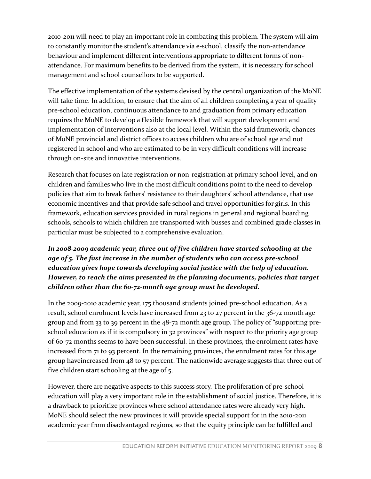2010-2011 will need to play an important role in combating this problem. The system will aim to constantly monitor the student's attendance via e-school, classify the non-attendance behaviour and implement different interventions appropriate to different forms of nonattendance. For maximum benefits to be derived from the system, it is necessary for school management and school counsellors to be supported.

The effective implementation of the systems devised by the central organization of the MoNE will take time. In addition, to ensure that the aim of all children completing a year of quality pre-school education, continuous attendance to and graduation from primary education requires the MoNE to develop a flexible framework that will support development and implementation of interventions also at the local level. Within the said framework, chances of MoNE provincial and district offices to access children who are of school age and not registered in school and who are estimated to be in very difficult conditions will increase through on-site and innovative interventions.

Research that focuses on late registration or non-registration at primary school level, and on children and families who live in the most difficult conditions point to the need to develop policies that aim to break fathers' resistance to their daughters' school attendance, that use economic incentives and that provide safe school and travel opportunities for girls. In this framework, education services provided in rural regions in general and regional boarding schools, schools to which children are transported with busses and combined grade classes in particular must be subjected to a comprehensive evaluation.

### In 2008-2009 academic year, three out of five children have started schooling at the age of 5. The fast increase in the number of students who can access pre-school education gives hope towards developing social justice with the help of education. However, to reach the aims presented in the planning documents, policies that target children other than the 60-72-month age group must be developed.

In the 2009-2010 academic year, 175 thousand students joined pre-school education. As a result, school enrolment levels have increased from 23 to 27 percent in the 36-72 month age group and from 33 to 39 percent in the 48-72 month age group. The policy of "supporting preschool education as if it is compulsory in 32 provinces" with respect to the priority age group of 60-72 months seems to have been successful. In these provinces, the enrolment rates have increased from 71 to 93 percent. In the remaining provinces, the enrolment rates for this age group haveincreased from 48 to 57 percent. The nationwide average suggests that three out of five children start schooling at the age of 5.

However, there are negative aspects to this success story. The proliferation of pre-school education will play a very important role in the establishment of social justice. Therefore, it is a drawback to prioritize provinces where school attendance rates were already very high. MoNE should select the new provinces it will provide special support for in the 2010-2011 academic year from disadvantaged regions, so that the equity principle can be fulfilled and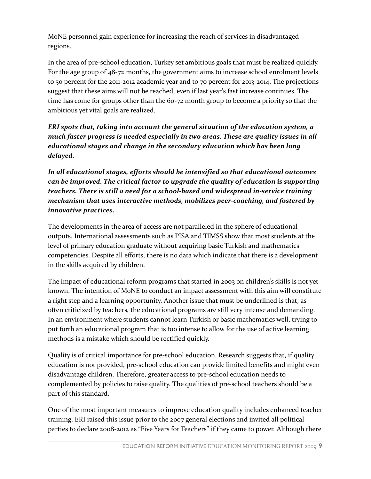MoNE personnel gain experience for increasing the reach of services in disadvantaged regions.

In the area of pre-school education, Turkey set ambitious goals that must be realized quickly. For the age group of 48-72 months, the government aims to increase school enrolment levels to 50 percent for the 2011-2012 academic year and to 70 percent for 2013-2014. The projections suggest that these aims will not be reached, even if last year's fast increase continues. The time has come for groups other than the 60-72 month group to become a priority so that the ambitious yet vital goals are realized.

ERI spots that, taking into account the general situation of the education system, a much faster progress is needed especially in two areas. These are quality issues in all educational stages and change in the secondary education which has been long delayed.

In all educational stages, efforts should be intensified so that educational outcomes can be improved. The critical factor to upgrade the quality of education is supporting teachers. There is still a need for a school-based and widespread in-service training mechanism that uses interactive methods, mobilizes peer-coaching, and fostered by innovative practices.

The developments in the area of access are not paralleled in the sphere of educational outputs. International assessments such as PISA and TIMSS show that most students at the level of primary education graduate without acquiring basic Turkish and mathematics competencies. Despite all efforts, there is no data which indicate that there is a development in the skills acquired by children.

The impact of educational reform programs that started in 2003 on children's skills is not yet known. The intention of MoNE to conduct an impact assessment with this aim will constitute a right step and a learning opportunity. Another issue that must be underlined is that, as often criticized by teachers, the educational programs are still very intense and demanding. In an environment where students cannot learn Turkish or basic mathematics well, trying to put forth an educational program that is too intense to allow for the use of active learning methods is a mistake which should be rectified quickly.

Quality is of critical importance for pre-school education. Research suggests that, if quality education is not provided, pre-school education can provide limited benefits and might even disadvantage children. Therefore, greater access to pre-school education needs to complemented by policies to raise quality. The qualities of pre-school teachers should be a part of this standard.

One of the most important measures to improve education quality includes enhanced teacher training. ERI raised this issue prior to the 2007 general elections and invited all political parties to declare 2008-2012 as "Five Years for Teachers" if they came to power. Although there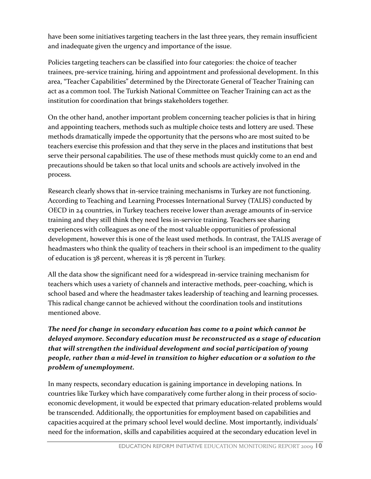have been some initiatives targeting teachers in the last three years, they remain insufficient and inadequate given the urgency and importance of the issue.

Policies targeting teachers can be classified into four categories: the choice of teacher trainees, pre-service training, hiring and appointment and professional development. In this area, "Teacher Capabilities" determined by the Directorate General of Teacher Training can act as a common tool. The Turkish National Committee on Teacher Training can act as the institution for coordination that brings stakeholders together.

On the other hand, another important problem concerning teacher policies is that in hiring and appointing teachers, methods such as multiple choice tests and lottery are used. These methods dramatically impede the opportunity that the persons who are most suited to be teachers exercise this profession and that they serve in the places and institutions that best serve their personal capabilities. The use of these methods must quickly come to an end and precautions should be taken so that local units and schools are actively involved in the process.

Research clearly shows that in-service training mechanisms in Turkey are not functioning. According to Teaching and Learning Processes International Survey (TALIS) conducted by OECD in 24 countries, in Turkey teachers receive lower than average amounts of in-service training and they still think they need less in-service training. Teachers see sharing experiences with colleagues as one of the most valuable opportunities of professional development, however this is one of the least used methods. In contrast, the TALIS average of headmasters who think the quality of teachers in their school is an impediment to the quality of education is 38 percent, whereas it is 78 percent in Turkey.

All the data show the significant need for a widespread in-service training mechanism for teachers which uses a variety of channels and interactive methods, peer-coaching, which is school based and where the headmaster takes leadership of teaching and learning processes. This radical change cannot be achieved without the coordination tools and institutions mentioned above.

The need for change in secondary education has come to a point which cannot be delayed anymore. Secondary education must be reconstructed as a stage of education that will strengthen the individual development and social participation of young people, rather than a mid-level in transition to higher education or a solution to the problem of unemployment.

In many respects, secondary education is gaining importance in developing nations. In countries like Turkey which have comparatively come further along in their process of socioeconomic development, it would be expected that primary education-related problems would be transcended. Additionally, the opportunities for employment based on capabilities and capacities acquired at the primary school level would decline. Most importantly, individuals' need for the information, skills and capabilities acquired at the secondary education level in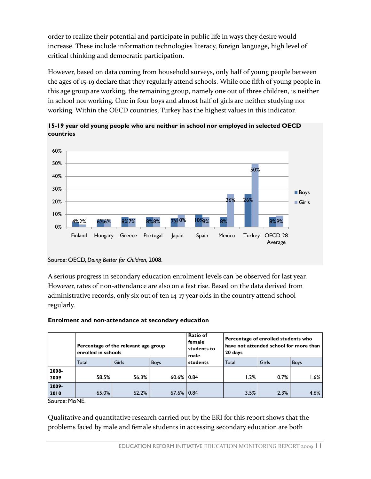order to realize their potential and participate in public life in ways they desire would increase. These include information technologies literacy, foreign language, high level of critical thinking and democratic participation.

However, based on data coming from household surveys, only half of young people between the ages of 15-19 declare that they regularly attend schools. While one fifth of young people in this age group are working, the remaining group, namely one out of three children, is neither in school nor working. One in four boys and almost half of girls are neither studying nor working. Within the OECD countries, Turkey has the highest values in this indicator.



15-19 year old young people who are neither in school nor employed in selected OECD countries

A serious progress in secondary education enrolment levels can be observed for last year. However, rates of non-attendance are also on a fast rise. Based on the data derived from administrative records, only six out of ten 14-17 year olds in the country attend school regularly.

#### Enrolment and non-attendance at secondary education

|               | enrolled in schools | Percentage of the relevant age group |                 | <b>Ratio of</b><br>female<br>students to<br>male | Percentage of enrolled students who<br>have not attended school for more than<br>20 days |       |             |
|---------------|---------------------|--------------------------------------|-----------------|--------------------------------------------------|------------------------------------------------------------------------------------------|-------|-------------|
|               | Total               | Girls                                | <b>Boys</b>     | students                                         | Total                                                                                    | Girls | <b>Boys</b> |
| 2008-<br>2009 | 58.5%               | 56.3%                                | $60.6\%$   0.84 |                                                  | 1.2%                                                                                     | 0.7%  | .6%         |
| 2009-<br>2010 | 65.0%               | 62.2%                                | $67.6\%$ 0.84   |                                                  | 3.5%                                                                                     | 2.3%  | 4.6%        |

Source: MoNE.

Qualitative and quantitative research carried out by the ERI for this report shows that the problems faced by male and female students in accessing secondary education are both

Source: OECD, Doing Better for Children, 2008.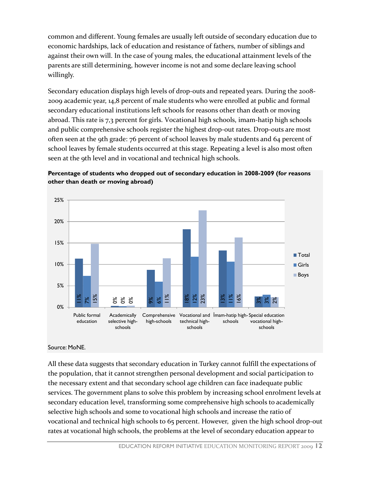common and different. Young females are usually left outside of secondary education due to economic hardships, lack of education and resistance of fathers, number of siblings and against their own will. In the case of young males, the educational attainment levels of the parents are still determining, however income is not and some declare leaving school willingly.

Secondary education displays high levels of drop-outs and repeated years. During the 2008- 2009 academic year, 14,8 percent of male students who were enrolled at public and formal secondary educational institutions left schools for reasons other than death or moving abroad. This rate is 7,3 percent for girls. Vocational high schools, imam-hatip high schools and public comprehensive schools register the highest drop-out rates. Drop-outs are most often seen at the 9th grade: 76 percent of school leaves by male students and 64 percent of school leaves by female students occurred at this stage. Repeating a level is also most often seen at the 9th level and in vocational and technical high schools.





#### Source: MoNE.

All these data suggests that secondary education in Turkey cannot fulfill the expectations of the population, that it cannot strengthen personal development and social participation to the necessary extent and that secondary school age children can face inadequate public services. The government plans to solve this problem by increasing school enrolment levels at secondary education level, transforming some comprehensive high schools to academically selective high schools and some to vocational high schools and increase the ratio of vocational and technical high schools to 65 percent. However, given the high school drop-out rates at vocational high schools, the problems at vectorical high-schools, the problems selective high-schools, the problems is those second and inspired the secondary education selective high-schools, the problems is tho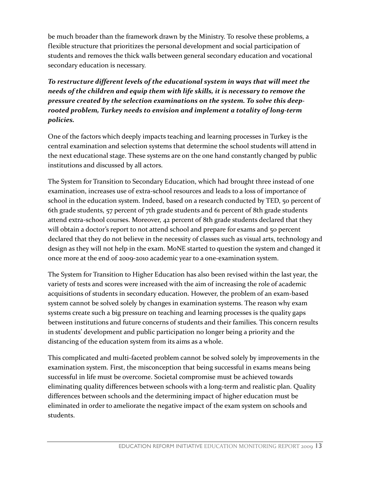be much broader than the framework drawn by the Ministry. To resolve these problems, a flexible structure that prioritizes the personal development and social participation of students and removes the thick walls between general secondary education and vocational secondary education is necessary.

To restructure different levels of the educational system in ways that will meet the needs of the children and equip them with life skills, it is necessary to remove the pressure created by the selection examinations on the system. To solve this deeprooted problem, Turkey needs to envision and implement a totality of long-term policies.

One of the factors which deeply impacts teaching and learning processes in Turkey is the central examination and selection systems that determine the school students will attend in the next educational stage. These systems are on the one hand constantly changed by public institutions and discussed by all actors.

The System for Transition to Secondary Education, which had brought three instead of one examination, increases use of extra-school resources and leads to a loss of importance of school in the education system. Indeed, based on a research conducted by TED, 50 percent of 6th grade students, 57 percent of 7th grade students and 61 percent of 8th grade students attend extra-school courses. Moreover, 42 percent of 8th grade students declared that they will obtain a doctor's report to not attend school and prepare for exams and 50 percent declared that they do not believe in the necessity of classes such as visual arts, technology and design as they will not help in the exam. MoNE started to question the system and changed it once more at the end of 2009-2010 academic year to a one-examination system.

The System for Transition to Higher Education has also been revised within the last year, the variety of tests and scores were increased with the aim of increasing the role of academic acquisitions of students in secondary education. However, the problem of an exam-based system cannot be solved solely by changes in examination systems. The reason why exam systems create such a big pressure on teaching and learning processes is the quality gaps between institutions and future concerns of students and their families. This concern results in students' development and public participation no longer being a priority and the distancing of the education system from its aims as a whole.

This complicated and multi-faceted problem cannot be solved solely by improvements in the examination system. First, the misconception that being successful in exams means being successful in life must be overcome. Societal compromise must be achieved towards eliminating quality differences between schools with a long-term and realistic plan. Quality differences between schools and the determining impact of higher education must be eliminated in order to ameliorate the negative impact of the exam system on schools and students.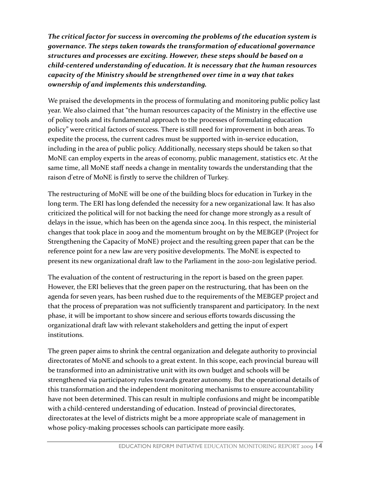The critical factor for success in overcoming the problems of the education system is governance. The steps taken towards the transformation of educational governance structures and processes are exciting. However, these steps should be based on a child-centered understanding of education. It is necessary that the human resources capacity of the Ministry should be strengthened over time in a way that takes ownership of and implements this understanding.

We praised the developments in the process of formulating and monitoring public policy last year. We also claimed that "the human resources capacity of the Ministry in the effective use of policy tools and its fundamental approach to the processes of formulating education policy" were critical factors of success. There is still need for improvement in both areas. To expedite the process, the current cadres must be supported with in-service education, including in the area of public policy. Additionally, necessary steps should be taken so that MoNE can employ experts in the areas of economy, public management, statistics etc. At the same time, all MoNE staff needs a change in mentality towards the understanding that the raison d'etre of MoNE is firstly to serve the children of Turkey.

The restructuring of MoNE will be one of the building blocs for education in Turkey in the long term. The ERI has long defended the necessity for a new organizational law. It has also criticized the political will for not backing the need for change more strongly as a result of delays in the issue, which has been on the agenda since 2004. In this respect, the ministerial changes that took place in 2009 and the momentum brought on by the MEBGEP (Project for Strengthening the Capacity of MoNE) project and the resulting green paper that can be the reference point for a new law are very positive developments. The MoNE is expected to present its new organizational draft law to the Parliament in the 2010-2011 legislative period.

The evaluation of the content of restructuring in the report is based on the green paper. However, the ERI believes that the green paper on the restructuring, that has been on the agenda for seven years, has been rushed due to the requirements of the MEBGEP project and that the process of preparation was not sufficiently transparent and participatory. In the next phase, it will be important to show sincere and serious efforts towards discussing the organizational draft law with relevant stakeholders and getting the input of expert institutions.

The green paper aims to shrink the central organization and delegate authority to provincial directorates of MoNE and schools to a great extent. In this scope, each provincial bureau will be transformed into an administrative unit with its own budget and schools will be strengthened via participatory rules towards greater autonomy. But the operational details of this transformation and the independent monitoring mechanisms to ensure accountability have not been determined. This can result in multiple confusions and might be incompatible with a child-centered understanding of education. Instead of provincial directorates, directorates at the level of districts might be a more appropriate scale of management in whose policy-making processes schools can participate more easily.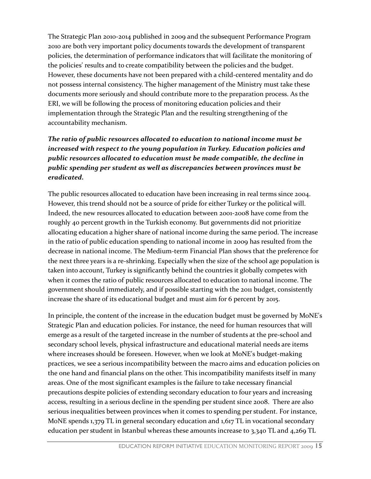The Strategic Plan 2010-2014 published in 2009 and the subsequent Performance Program 2010 are both very important policy documents towards the development of transparent policies, the determination of performance indicators that will facilitate the monitoring of the policies' results and to create compatibility between the policies and the budget. However, these documents have not been prepared with a child-centered mentality and do not possess internal consistency. The higher management of the Ministry must take these documents more seriously and should contribute more to the preparation process. As the ERI, we will be following the process of monitoring education policies and their implementation through the Strategic Plan and the resulting strengthening of the accountability mechanism.

### The ratio of public resources allocated to education to national income must be increased with respect to the young population in Turkey. Education policies and public resources allocated to education must be made compatible, the decline in public spending per student as well as discrepancies between provinces must be eradicated.

The public resources allocated to education have been increasing in real terms since 2004. However, this trend should not be a source of pride for either Turkey or the political will. Indeed, the new resources allocated to education between 2001-2008 have come from the roughly 40 percent growth in the Turkish economy. But governments did not prioritize allocating education a higher share of national income during the same period. The increase in the ratio of public education spending to national income in 2009 has resulted from the decrease in national income. The Medium-term Financial Plan shows that the preference for the next three years is a re-shrinking. Especially when the size of the school age population is taken into account, Turkey is significantly behind the countries it globally competes with when it comes the ratio of public resources allocated to education to national income. The government should immediately, and if possible starting with the 2011 budget, consistently increase the share of its educational budget and must aim for 6 percent by 2015.

In principle, the content of the increase in the education budget must be governed by MoNE's Strategic Plan and education policies. For instance, the need for human resources that will emerge as a result of the targeted increase in the number of students at the pre-school and secondary school levels, physical infrastructure and educational material needs are items where increases should be foreseen. However, when we look at MoNE's budget-making practices, we see a serious incompatibility between the macro aims and education policies on the one hand and financial plans on the other. This incompatibility manifests itself in many areas. One of the most significant examples is the failure to take necessary financial precautions despite policies of extending secondary education to four years and increasing access, resulting in a serious decline in the spending per student since 2008. There are also serious inequalities between provinces when it comes to spending per student. For instance, MoNE spends 1,379 TL in general secondary education and 1,617 TL in vocational secondary education per student in Istanbul whereas these amounts increase to 3,340 TL and 4,269 TL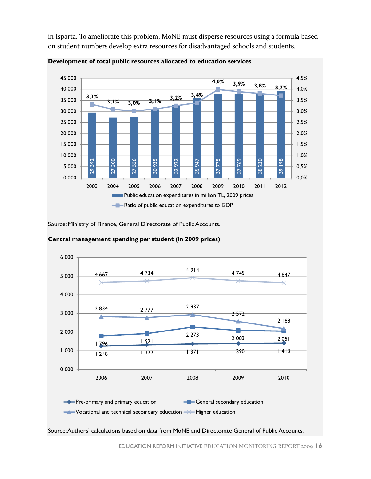in Isparta. To ameliorate this problem, MoNE must disperse resources using a formula based on student numbers develop extra resources for disadvantaged schools and students.





Source: Ministry of Finance, General Directorate of Public Accounts.



#### Central management spending per student (in 2009 prices)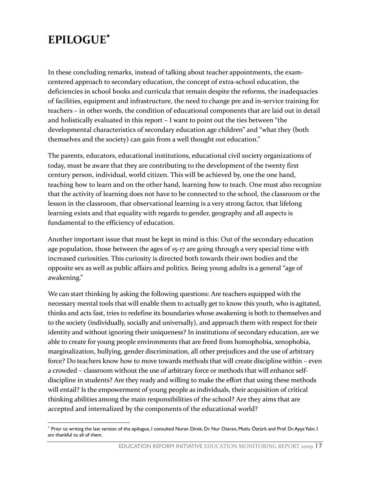# EPILOGUE<sup>∗</sup>

l

In these concluding remarks, instead of talking about teacher appointments, the examcentered approach to secondary education, the concept of extra-school education, the deficiencies in school books and curricula that remain despite the reforms, the inadequacies of facilities, equipment and infrastructure, the need to change pre and in-service training for teachers – in other words, the condition of educational components that are laid out in detail and holistically evaluated in this report – I want to point out the ties between "the developmental characteristics of secondary education age children" and "what they (both themselves and the society) can gain from a well thought out education."

The parents, educators, educational institutions, educational civil society organizations of today, must be aware that they are contributing to the development of the twenty first century person, individual, world citizen. This will be achieved by, one the one hand, teaching how to learn and on the other hand, learning how to teach. One must also recognize that the activity of learning does not have to be connected to the school, the classroom or the lesson in the classroom, that observational learning is a very strong factor, that lifelong learning exists and that equality with regards to gender, geography and all aspects is fundamental to the efficiency of education.

Another important issue that must be kept in mind is this: Out of the secondary education age population, those between the ages of 15-17 are going through a very special time with increased curiosities. This curiosity is directed both towards their own bodies and the opposite sex as well as public affairs and politics. Being young adults is a general "age of awakening."

We can start thinking by asking the following questions: Are teachers equipped with the necessary mental tools that will enable them to actually get to know this youth, who is agitated, thinks and acts fast, tries to redefine its boundaries whose awakening is both to themselves and to the society (individually, socially and universally), and approach them with respect for their identity and without ignoring their uniqueness? In institutions of secondary education, are we able to create for young people environments that are freed from homophobia, xenophobia, marginalization, bullying, gender discrimination, all other prejudices and the use of arbitrary force? Do teachers know how to move towards methods that will create discipline within – even a crowded – classroom without the use of arbitrary force or methods that will enhance selfdiscipline in students? Are they ready and willing to make the effort that using these methods will entail? Is the empowerment of young people as individuals, their acquisition of critical thinking abilities among the main responsibilities of the school? Are they aims that are accepted and internalized by the components of the educational world?

<sup>∗</sup> Prior to writing the last version of the epilogue, I consulted Nuran Direk, Dr. Nur Otaran, Mutlu Öztürk and Prof. Dr. Ayșe Yalın. I am thankful to all of them.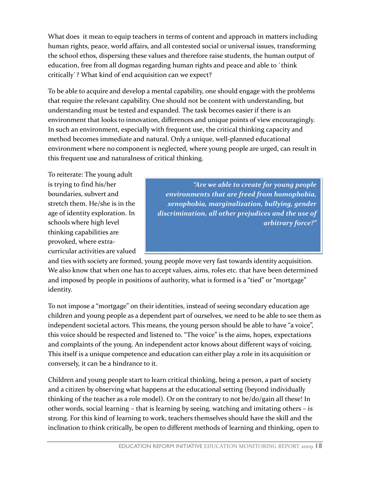What does it mean to equip teachers in terms of content and approach in matters including human rights, peace, world affairs, and all contested social or universal issues, transforming the school ethos, dispersing these values and therefore raise students, the human output of education, free from all dogmas regarding human rights and peace and able to `think critically`? What kind of end acquisition can we expect?

To be able to acquire and develop a mental capability, one should engage with the problems that require the relevant capability. One should not be content with understanding, but understanding must be tested and expanded. The task becomes easier if there is an environment that looks to innovation, differences and unique points of view encouragingly. In such an environment, especially with frequent use, the critical thinking capacity and method becomes immediate and natural. Only a unique, well-planned educational environment where no component is neglected, where young people are urged, can result in this frequent use and naturalness of critical thinking.

To reiterate: The young adult is trying to find his/her boundaries, subvert and stretch them. He/she is in the age of identity exploration. In schools where high level thinking capabilities are provoked, where extracurricular activities are valued

"Are we able to create for young people environments that are freed from homophobia, xenophobia, marginalization, bullying, gender discrimination, all other prejudices and the use of arbitrary force?"

and ties with society are formed, young people move very fast towards identity acquisition. We also know that when one has to accept values, aims, roles etc. that have been determined and imposed by people in positions of authority, what is formed is a "tied" or "mortgage" identity.

To not impose a "mortgage" on their identities, instead of seeing secondary education age children and young people as a dependent part of ourselves, we need to be able to see them as independent societal actors. This means, the young person should be able to have "a voice", this voice should be respected and listened to. "The voice" is the aims, hopes, expectations and complaints of the young. An independent actor knows about different ways of voicing. This itself is a unique competence and education can either play a role in its acquisition or conversely, it can be a hindrance to it.

Children and young people start to learn critical thinking, being a person, a part of society and a citizen by observing what happens at the educational setting (beyond individually thinking of the teacher as a role model). Or on the contrary to not be/do/gain all these! In other words, social learning – that is learning by seeing, watching and imitating others – is strong. For this kind of learning to work, teachers themselves should have the skill and the inclination to think critically, be open to different methods of learning and thinking, open to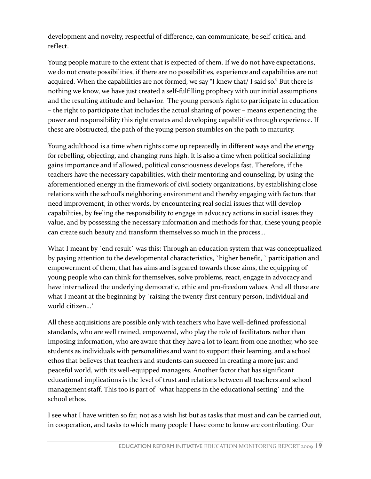development and novelty, respectful of difference, can communicate, be self-critical and reflect.

Young people mature to the extent that is expected of them. If we do not have expectations, we do not create possibilities, if there are no possibilities, experience and capabilities are not acquired. When the capabilities are not formed, we say "I knew that/ I said so." But there is nothing we know, we have just created a self-fulfilling prophecy with our initial assumptions and the resulting attitude and behavior. The young person's right to participate in education – the right to participate that includes the actual sharing of power – means experiencing the power and responsibility this right creates and developing capabilities through experience. If these are obstructed, the path of the young person stumbles on the path to maturity.

Young adulthood is a time when rights come up repeatedly in different ways and the energy for rebelling, objecting, and changing runs high. It is also a time when political socializing gains importance and if allowed, political consciousness develops fast. Therefore, if the teachers have the necessary capabilities, with their mentoring and counseling, by using the aforementioned energy in the framework of civil society organizations, by establishing close relations with the school's neighboring environment and thereby engaging with factors that need improvement, in other words, by encountering real social issues that will develop capabilities, by feeling the responsibility to engage in advocacy actions in social issues they value, and by possessing the necessary information and methods for that, these young people can create such beauty and transform themselves so much in the process…

What I meant by 'end result' was this: Through an education system that was conceptualized by paying attention to the developmental characteristics, `higher benefit, ` participation and empowerment of them, that has aims and is geared towards those aims, the equipping of young people who can think for themselves, solve problems, react, engage in advocacy and have internalized the underlying democratic, ethic and pro-freedom values. And all these are what I meant at the beginning by `raising the twenty-first century person, individual and world citizen…`

All these acquisitions are possible only with teachers who have well-defined professional standards, who are well trained, empowered, who play the role of facilitators rather than imposing information, who are aware that they have a lot to learn from one another, who see students as individuals with personalities and want to support their learning, and a school ethos that believes that teachers and students can succeed in creating a more just and peaceful world, with its well-equipped managers. Another factor that has significant educational implications is the level of trust and relations between all teachers and school management staff. This too is part of `what happens in the educational setting` and the school ethos.

I see what I have written so far, not as a wish list but as tasks that must and can be carried out, in cooperation, and tasks to which many people I have come to know are contributing. Our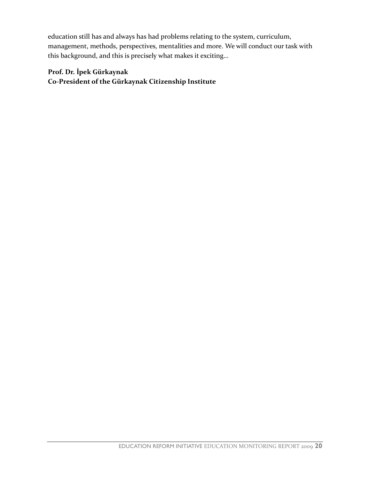education still has and always has had problems relating to the system, curriculum, management, methods, perspectives, mentalities and more. We will conduct our task with this background, and this is precisely what makes it exciting…

### Prof. Dr. İpek Gürkaynak Co-President of the Gürkaynak Citizenship Institute